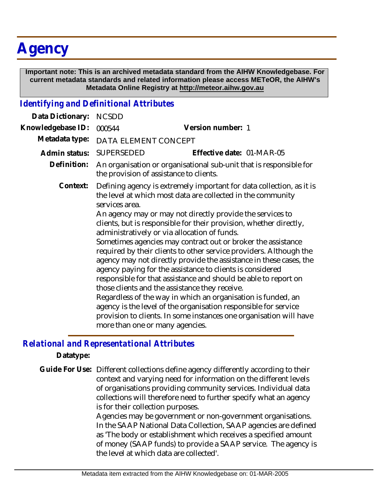## **Agency**

 **Important note: This is an archived metadata standard from the AIHW Knowledgebase. For current metadata standards and related information please access METeOR, the AIHW's Metadata Online Registry at http://meteor.aihw.gov.au**

## *Identifying and Definitional Attributes*

| Data Dictionary:  | <b>NCSDD</b>                                                                                                                                                                                                                                                                                                                                                                                                                                                                                                                                                                                                                                                                                                                                                                                                                                                                                                                                                                       |                           |
|-------------------|------------------------------------------------------------------------------------------------------------------------------------------------------------------------------------------------------------------------------------------------------------------------------------------------------------------------------------------------------------------------------------------------------------------------------------------------------------------------------------------------------------------------------------------------------------------------------------------------------------------------------------------------------------------------------------------------------------------------------------------------------------------------------------------------------------------------------------------------------------------------------------------------------------------------------------------------------------------------------------|---------------------------|
| Knowledgebase ID: | 000544                                                                                                                                                                                                                                                                                                                                                                                                                                                                                                                                                                                                                                                                                                                                                                                                                                                                                                                                                                             | Version number: 1         |
| Metadata type:    | DATA ELEMENT CONCEPT                                                                                                                                                                                                                                                                                                                                                                                                                                                                                                                                                                                                                                                                                                                                                                                                                                                                                                                                                               |                           |
| Admin status:     | SUPERSEDED                                                                                                                                                                                                                                                                                                                                                                                                                                                                                                                                                                                                                                                                                                                                                                                                                                                                                                                                                                         | Effective date: 01-MAR-05 |
| Definition:       | An organisation or organisational sub-unit that is responsible for<br>the provision of assistance to clients.                                                                                                                                                                                                                                                                                                                                                                                                                                                                                                                                                                                                                                                                                                                                                                                                                                                                      |                           |
| Context:          | Defining agency is extremely important for data collection, as it is<br>the level at which most data are collected in the community<br>services area.<br>An agency may or may not directly provide the services to<br>clients, but is responsible for their provision, whether directly,<br>administratively or via allocation of funds.<br>Sometimes agencies may contract out or broker the assistance<br>required by their clients to other service providers. Although the<br>agency may not directly provide the assistance in these cases, the<br>agency paying for the assistance to clients is considered<br>responsible for that assistance and should be able to report on<br>those clients and the assistance they receive.<br>Regardless of the way in which an organisation is funded, an<br>agency is the level of the organisation responsible for service<br>provision to clients. In some instances one organisation will have<br>more than one or many agencies. |                           |

## *Relational and Representational Attributes*

**Datatype:**

Guide For Use: Different collections define agency differently according to their context and varying need for information on the different levels of organisations providing community services. Individual data collections will therefore need to further specify what an agency is for their collection purposes.

> Agencies may be government or non-government organisations. In the SAAP National Data Collection, SAAP agencies are defined as 'The body or establishment which receives a specified amount of money (SAAP funds) to provide a SAAP service. The agency is the level at which data are collected'.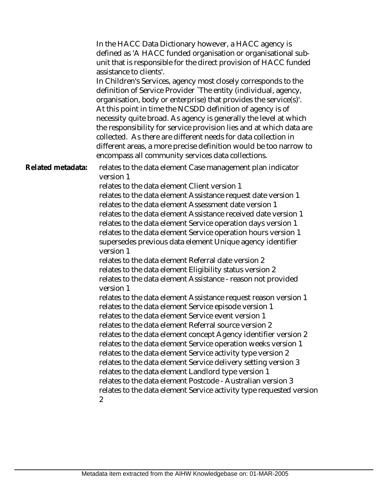|                   | In the HACC Data Dictionary however, a HACC agency is<br>defined as 'A HACC funded organisation or organisational sub-<br>unit that is responsible for the direct provision of HACC funded<br>assistance to clients'.<br>In Children's Services, agency most closely corresponds to the<br>definition of Service Provider `The entity (individual, agency,<br>organisation, body or enterprise) that provides the service(s)'.<br>At this point in time the NCSDD definition of agency is of<br>necessity quite broad. As agency is generally the level at which<br>the responsibility for service provision lies and at which data are<br>collected. As there are different needs for data collection in<br>different areas, a more precise definition would be too narrow to<br>encompass all community services data collections. |
|-------------------|--------------------------------------------------------------------------------------------------------------------------------------------------------------------------------------------------------------------------------------------------------------------------------------------------------------------------------------------------------------------------------------------------------------------------------------------------------------------------------------------------------------------------------------------------------------------------------------------------------------------------------------------------------------------------------------------------------------------------------------------------------------------------------------------------------------------------------------|
| Related metadata: | relates to the data element Case management plan indicator<br>version 1<br>relates to the data element Client version 1<br>relates to the data element Assistance request date version 1<br>relates to the data element Assessment date version 1<br>relates to the data element Assistance received date version 1<br>relates to the data element Service operation days version 1<br>relates to the data element Service operation hours version 1<br>supersedes previous data element Unique agency identifier<br>version 1<br>relates to the data element Referral date version 2<br>relates to the data element Eligibility status version 2<br>relates to the data element Assistance - reason not provided<br>version 1                                                                                                       |
|                   | relates to the data element Assistance request reason version 1<br>relates to the data element Service episode version 1<br>relates to the data element Service event version 1<br>relates to the data element Referral source version 2<br>relates to the data element concept Agency identifier version 2<br>relates to the data element Service operation weeks version 1<br>relates to the data element Service activity type version 2<br>relates to the data element Service delivery setting version 3<br>relates to the data element Landlord type version 1<br>relates to the data element Postcode - Australian version 3<br>relates to the data element Service activity type requested version<br>$\overline{2}$                                                                                                         |